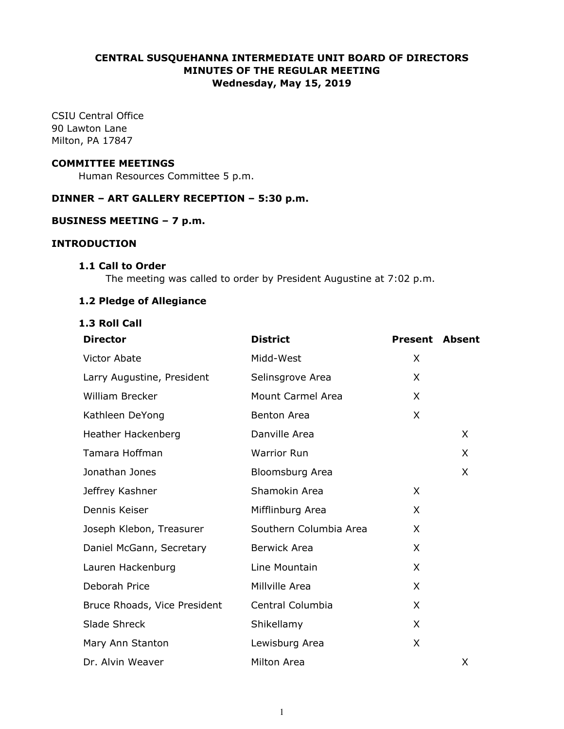# **CENTRAL SUSQUEHANNA INTERMEDIATE UNIT BOARD OF DIRECTORS MINUTES OF THE REGULAR MEETING Wednesday, May 15, 2019**

CSIU Central Office 90 Lawton Lane Milton, PA 17847

### **COMMITTEE MEETINGS**

Human Resources Committee 5 p.m.

## **DINNER – ART GALLERY RECEPTION – 5:30 p.m.**

# **BUSINESS MEETING – 7 p.m.**

## **INTRODUCTION**

#### **1.1 Call to Order**

The meeting was called to order by President Augustine at 7:02 p.m.

## **1.2 Pledge of Allegiance**

#### **1.3 Roll Call**

| <b>Director</b>              | <b>District</b>          | Present | <b>Absent</b> |
|------------------------------|--------------------------|---------|---------------|
| <b>Victor Abate</b>          | Midd-West                | X       |               |
| Larry Augustine, President   | Selinsgrove Area         | X       |               |
| <b>William Brecker</b>       | <b>Mount Carmel Area</b> | X       |               |
| Kathleen DeYong              | <b>Benton Area</b>       | X       |               |
| Heather Hackenberg           | Danville Area            |         | X             |
| Tamara Hoffman               | <b>Warrior Run</b>       |         | X             |
| Jonathan Jones               | Bloomsburg Area          |         | X             |
| Jeffrey Kashner              | Shamokin Area            | X       |               |
| Dennis Keiser                | Mifflinburg Area         | X       |               |
| Joseph Klebon, Treasurer     | Southern Columbia Area   | X       |               |
| Daniel McGann, Secretary     | <b>Berwick Area</b>      | X       |               |
| Lauren Hackenburg            | Line Mountain            | X       |               |
| Deborah Price                | Millville Area           | X       |               |
| Bruce Rhoads, Vice President | Central Columbia         | X       |               |
| Slade Shreck                 | Shikellamy               | X       |               |
| Mary Ann Stanton             | Lewisburg Area           | X       |               |
| Dr. Alvin Weaver             | Milton Area              |         | X             |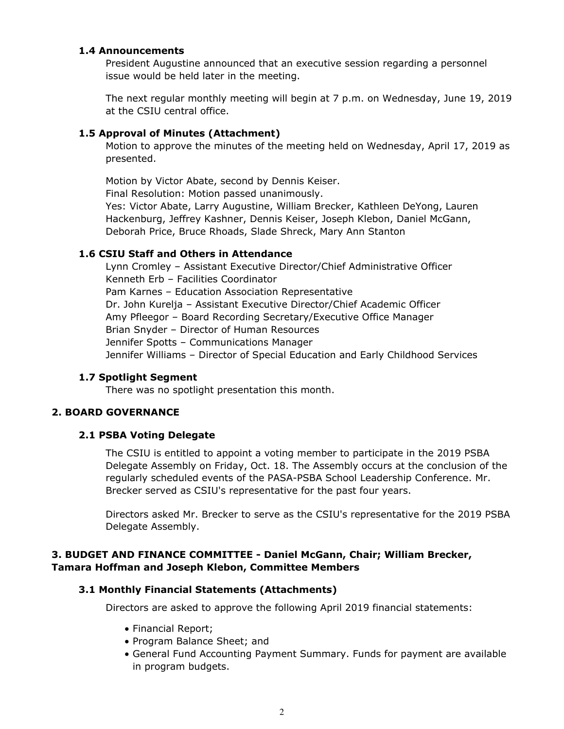## **1.4 Announcements**

President Augustine announced that an executive session regarding a personnel issue would be held later in the meeting.

The next regular monthly meeting will begin at 7 p.m. on Wednesday, June 19, 2019 at the CSIU central office.

# **1.5 Approval of Minutes (Attachment)**

Motion to approve the minutes of the meeting held on Wednesday, April 17, 2019 as presented.

Motion by Victor Abate, second by Dennis Keiser. Final Resolution: Motion passed unanimously. Yes: Victor Abate, Larry Augustine, William Brecker, Kathleen DeYong, Lauren Hackenburg, Jeffrey Kashner, Dennis Keiser, Joseph Klebon, Daniel McGann, Deborah Price, Bruce Rhoads, Slade Shreck, Mary Ann Stanton

# **1.6 CSIU Staff and Others in Attendance**

Lynn Cromley – Assistant Executive Director/Chief Administrative Officer Kenneth Erb – Facilities Coordinator Pam Karnes – Education Association Representative Dr. John Kurelja – Assistant Executive Director/Chief Academic Officer Amy Pfleegor – Board Recording Secretary/Executive Office Manager Brian Snyder – Director of Human Resources Jennifer Spotts – Communications Manager Jennifer Williams – Director of Special Education and Early Childhood Services

## **1.7 Spotlight Segment**

There was no spotlight presentation this month.

# **2. BOARD GOVERNANCE**

## **2.1 PSBA Voting Delegate**

The CSIU is entitled to appoint a voting member to participate in the 2019 PSBA Delegate Assembly on Friday, Oct. 18. The Assembly occurs at the conclusion of the regularly scheduled events of the PASA-PSBA School Leadership Conference. Mr. Brecker served as CSIU's representative for the past four years.

Directors asked Mr. Brecker to serve as the CSIU's representative for the 2019 PSBA Delegate Assembly.

# **3. BUDGET AND FINANCE COMMITTEE - Daniel McGann, Chair; William Brecker, Tamara Hoffman and Joseph Klebon, Committee Members**

## **3.1 Monthly Financial Statements (Attachments)**

Directors are asked to approve the following April 2019 financial statements:

- Financial Report;
- Program Balance Sheet; and
- General Fund Accounting Payment Summary. Funds for payment are available in program budgets.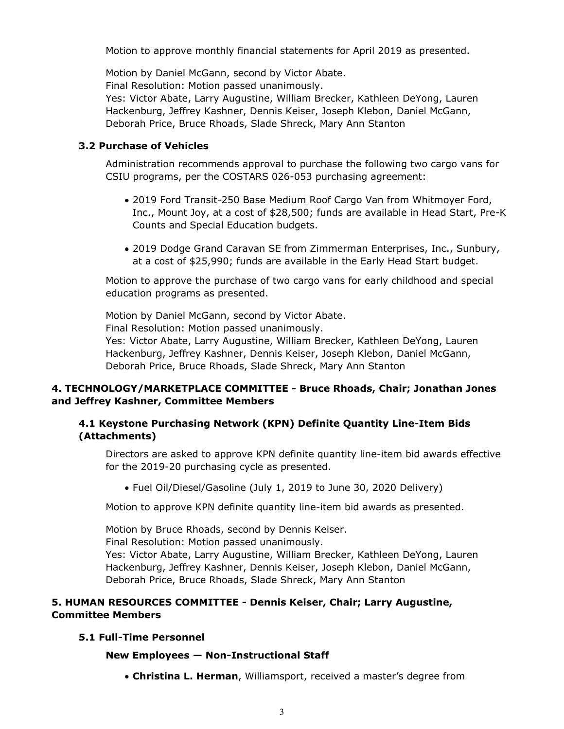Motion to approve monthly financial statements for April 2019 as presented.

Motion by Daniel McGann, second by Victor Abate. Final Resolution: Motion passed unanimously. Yes: Victor Abate, Larry Augustine, William Brecker, Kathleen DeYong, Lauren Hackenburg, Jeffrey Kashner, Dennis Keiser, Joseph Klebon, Daniel McGann, Deborah Price, Bruce Rhoads, Slade Shreck, Mary Ann Stanton

## **3.2 Purchase of Vehicles**

Administration recommends approval to purchase the following two cargo vans for CSIU programs, per the COSTARS 026-053 purchasing agreement:

- 2019 Ford Transit-250 Base Medium Roof Cargo Van from Whitmoyer Ford, Inc., Mount Joy, at a cost of \$28,500; funds are available in Head Start, Pre-K Counts and Special Education budgets.
- 2019 Dodge Grand Caravan SE from Zimmerman Enterprises, Inc., Sunbury, at a cost of \$25,990; funds are available in the Early Head Start budget.

Motion to approve the purchase of two cargo vans for early childhood and special education programs as presented.

Motion by Daniel McGann, second by Victor Abate.

Final Resolution: Motion passed unanimously.

Yes: Victor Abate, Larry Augustine, William Brecker, Kathleen DeYong, Lauren Hackenburg, Jeffrey Kashner, Dennis Keiser, Joseph Klebon, Daniel McGann, Deborah Price, Bruce Rhoads, Slade Shreck, Mary Ann Stanton

## **4. TECHNOLOGY/MARKETPLACE COMMITTEE - Bruce Rhoads, Chair; Jonathan Jones and Jeffrey Kashner, Committee Members**

## **4.1 Keystone Purchasing Network (KPN) Definite Quantity Line-Item Bids (Attachments)**

Directors are asked to approve KPN definite quantity line-item bid awards effective for the 2019-20 purchasing cycle as presented.

Fuel Oil/Diesel/Gasoline (July 1, 2019 to June 30, 2020 Delivery)

Motion to approve KPN definite quantity line-item bid awards as presented.

Motion by Bruce Rhoads, second by Dennis Keiser. Final Resolution: Motion passed unanimously. Yes: Victor Abate, Larry Augustine, William Brecker, Kathleen DeYong, Lauren Hackenburg, Jeffrey Kashner, Dennis Keiser, Joseph Klebon, Daniel McGann, Deborah Price, Bruce Rhoads, Slade Shreck, Mary Ann Stanton

# **5. HUMAN RESOURCES COMMITTEE - Dennis Keiser, Chair; Larry Augustine, Committee Members**

### **5.1 Full-Time Personnel**

## **New Employees — Non-Instructional Staff**

**Christina L. Herman**, Williamsport, received a master's degree from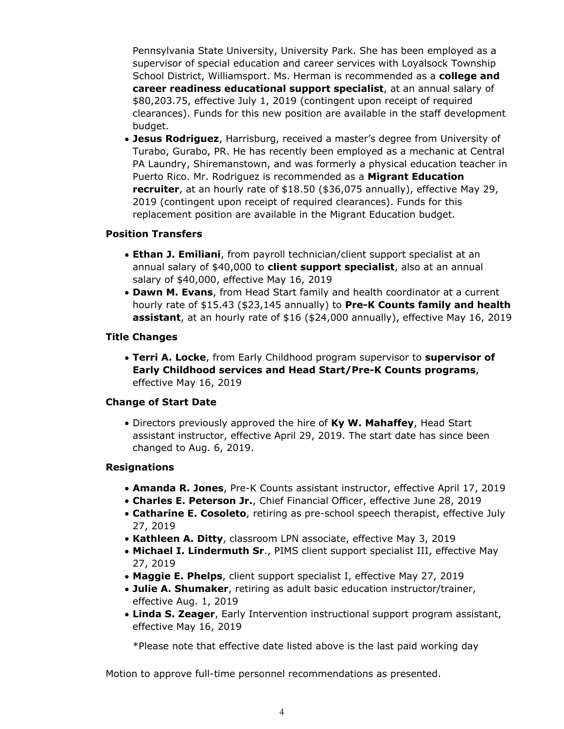Pennsylvania State University, University Park. She has been employed as a supervisor of special education and career services with Loyalsock Township School District, Williamsport. Ms. Herman is recommended as a **college and career readiness educational support specialist**, at an annual salary of \$80,203.75, effective July 1, 2019 (contingent upon receipt of required clearances). Funds for this new position are available in the staff development budget.

**Jesus Rodriguez**, Harrisburg, received a master's degree from University of Turabo, Gurabo, PR. He has recently been employed as a mechanic at Central PA Laundry, Shiremanstown, and was formerly a physical education teacher in Puerto Rico. Mr. Rodriguez is recommended as a **Migrant Education recruiter**, at an hourly rate of \$18.50 (\$36,075 annually), effective May 29, 2019 (contingent upon receipt of required clearances). Funds for this replacement position are available in the Migrant Education budget.

### **Position Transfers**

- **Ethan J. Emiliani**, from payroll technician/client support specialist at an annual salary of \$40,000 to **client support specialist**, also at an annual salary of \$40,000, effective May 16, 2019
- **Dawn M. Evans**, from Head Start family and health coordinator at a current hourly rate of \$15.43 (\$23,145 annually) to **Pre-K Counts family and health assistant**, at an hourly rate of \$16 (\$24,000 annually), effective May 16, 2019

## **Title Changes**

**Terri A. Locke**, from Early Childhood program supervisor to **supervisor of Early Childhood services and Head Start/Pre-K Counts programs**, effective May 16, 2019

### **Change of Start Date**

Directors previously approved the hire of **Ky W. Mahaffey**, Head Start assistant instructor, effective April 29, 2019. The start date has since been changed to Aug. 6, 2019.

### **Resignations**

- **Amanda R. Jones**, Pre-K Counts assistant instructor, effective April 17, 2019
- **Charles E. Peterson Jr.**, Chief Financial Officer, effective June 28, 2019
- **Catharine E. Cosoleto**, retiring as pre-school speech therapist, effective July 27, 2019
- **Kathleen A. Ditty**, classroom LPN associate, effective May 3, 2019
- **Michael I. Lindermuth Sr**., PIMS client support specialist III, effective May 27, 2019
- **Maggie E. Phelps**, client support specialist I, effective May 27, 2019
- **Julie A. Shumaker**, retiring as adult basic education instructor/trainer, effective Aug. 1, 2019
- **Linda S. Zeager**, Early Intervention instructional support program assistant, effective May 16, 2019

\*Please note that effective date listed above is the last paid working day

Motion to approve full-time personnel recommendations as presented.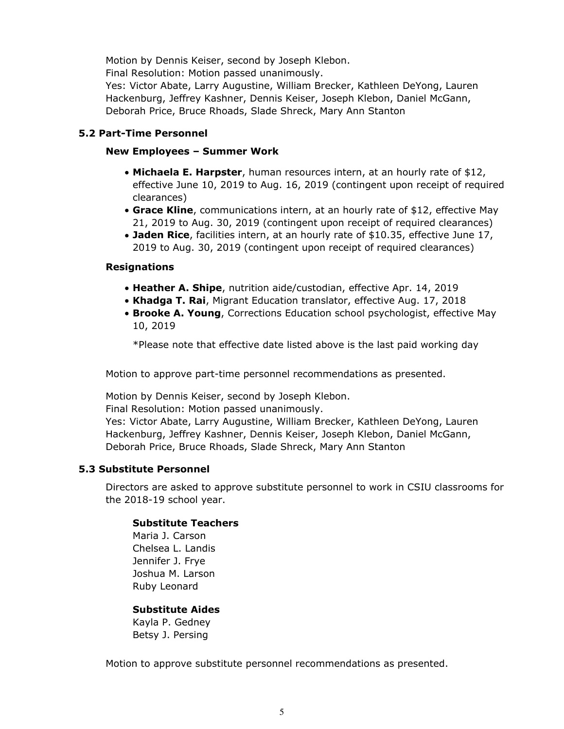Motion by Dennis Keiser, second by Joseph Klebon. Final Resolution: Motion passed unanimously. Yes: Victor Abate, Larry Augustine, William Brecker, Kathleen DeYong, Lauren Hackenburg, Jeffrey Kashner, Dennis Keiser, Joseph Klebon, Daniel McGann, Deborah Price, Bruce Rhoads, Slade Shreck, Mary Ann Stanton

### **5.2 Part-Time Personnel**

### **New Employees – Summer Work**

- **Michaela E. Harpster**, human resources intern, at an hourly rate of \$12, effective June 10, 2019 to Aug. 16, 2019 (contingent upon receipt of required clearances)
- **Grace Kline**, communications intern, at an hourly rate of \$12, effective May 21, 2019 to Aug. 30, 2019 (contingent upon receipt of required clearances)
- **Jaden Rice**, facilities intern, at an hourly rate of \$10.35, effective June 17, 2019 to Aug. 30, 2019 (contingent upon receipt of required clearances)

### **Resignations**

- **Heather A. Shipe**, nutrition aide/custodian, effective Apr. 14, 2019
- **Khadga T. Rai**, Migrant Education translator, effective Aug. 17, 2018
- **Brooke A. Young**, Corrections Education school psychologist, effective May 10, 2019

\*Please note that effective date listed above is the last paid working day

Motion to approve part-time personnel recommendations as presented.

Motion by Dennis Keiser, second by Joseph Klebon.

Final Resolution: Motion passed unanimously.

Yes: Victor Abate, Larry Augustine, William Brecker, Kathleen DeYong, Lauren Hackenburg, Jeffrey Kashner, Dennis Keiser, Joseph Klebon, Daniel McGann, Deborah Price, Bruce Rhoads, Slade Shreck, Mary Ann Stanton

### **5.3 Substitute Personnel**

Directors are asked to approve substitute personnel to work in CSIU classrooms for the 2018-19 school year.

### **Substitute Teachers**

Maria J. Carson Chelsea L. Landis Jennifer J. Frye Joshua M. Larson Ruby Leonard

### **Substitute Aides**

Kayla P. Gedney Betsy J. Persing

Motion to approve substitute personnel recommendations as presented.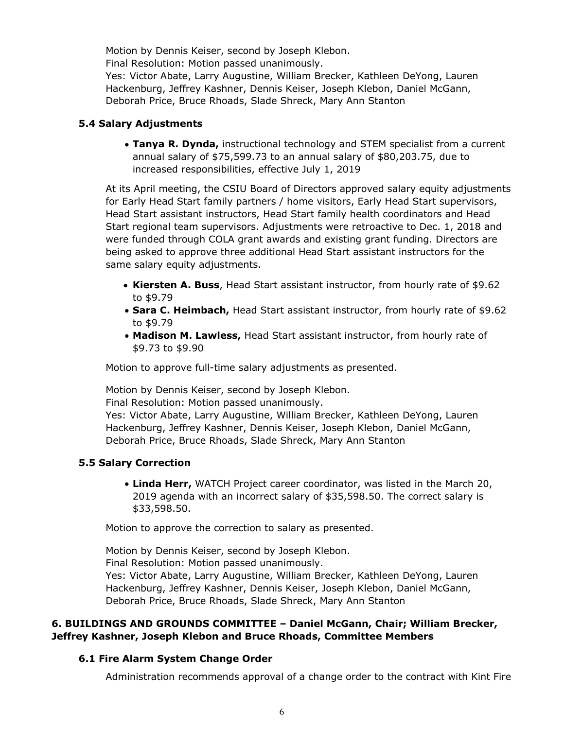Motion by Dennis Keiser, second by Joseph Klebon. Final Resolution: Motion passed unanimously.

Yes: Victor Abate, Larry Augustine, William Brecker, Kathleen DeYong, Lauren Hackenburg, Jeffrey Kashner, Dennis Keiser, Joseph Klebon, Daniel McGann, Deborah Price, Bruce Rhoads, Slade Shreck, Mary Ann Stanton

# **5.4 Salary Adjustments**

**Tanya R. Dynda,** instructional technology and STEM specialist from a current annual salary of \$75,599.73 to an annual salary of \$80,203.75, due to increased responsibilities, effective July 1, 2019

At its April meeting, the CSIU Board of Directors approved salary equity adjustments for Early Head Start family partners / home visitors, Early Head Start supervisors, Head Start assistant instructors, Head Start family health coordinators and Head Start regional team supervisors. Adjustments were retroactive to Dec. 1, 2018 and were funded through COLA grant awards and existing grant funding. Directors are being asked to approve three additional Head Start assistant instructors for the same salary equity adjustments.

- **Kiersten A. Buss**, Head Start assistant instructor, from hourly rate of \$9.62 to \$9.79
- **Sara C. Heimbach,** Head Start assistant instructor, from hourly rate of \$9.62 to \$9.79
- **Madison M. Lawless,** Head Start assistant instructor, from hourly rate of \$9.73 to \$9.90

Motion to approve full-time salary adjustments as presented.

Motion by Dennis Keiser, second by Joseph Klebon.

Final Resolution: Motion passed unanimously.

Yes: Victor Abate, Larry Augustine, William Brecker, Kathleen DeYong, Lauren Hackenburg, Jeffrey Kashner, Dennis Keiser, Joseph Klebon, Daniel McGann, Deborah Price, Bruce Rhoads, Slade Shreck, Mary Ann Stanton

# **5.5 Salary Correction**

**Linda Herr,** WATCH Project career coordinator, was listed in the March 20, 2019 agenda with an incorrect salary of \$35,598.50. The correct salary is \$33,598.50.

Motion to approve the correction to salary as presented.

Motion by Dennis Keiser, second by Joseph Klebon. Final Resolution: Motion passed unanimously. Yes: Victor Abate, Larry Augustine, William Brecker, Kathleen DeYong, Lauren Hackenburg, Jeffrey Kashner, Dennis Keiser, Joseph Klebon, Daniel McGann, Deborah Price, Bruce Rhoads, Slade Shreck, Mary Ann Stanton

# **6. BUILDINGS AND GROUNDS COMMITTEE – Daniel McGann, Chair; William Brecker, Jeffrey Kashner, Joseph Klebon and Bruce Rhoads, Committee Members**

# **6.1 Fire Alarm System Change Order**

Administration recommends approval of a change order to the contract with Kint Fire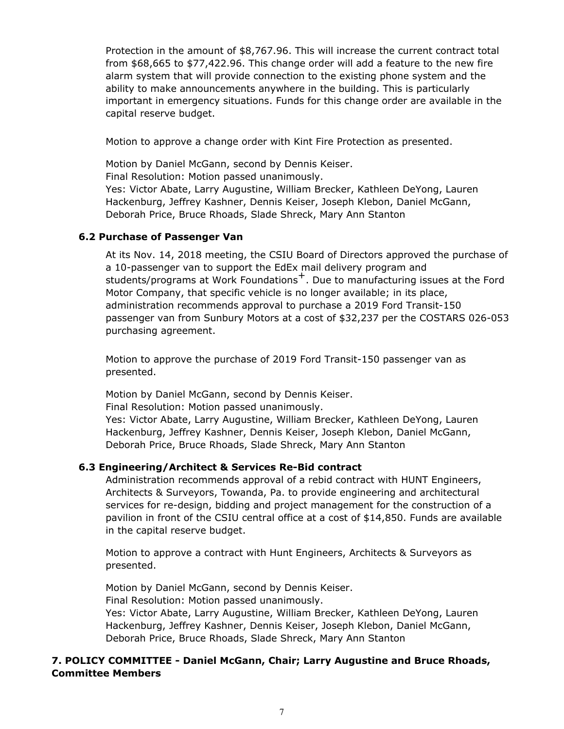Protection in the amount of \$8,767.96. This will increase the current contract total from \$68,665 to \$77,422.96. This change order will add a feature to the new fire alarm system that will provide connection to the existing phone system and the ability to make announcements anywhere in the building. This is particularly important in emergency situations. Funds for this change order are available in the capital reserve budget.

Motion to approve a change order with Kint Fire Protection as presented.

Motion by Daniel McGann, second by Dennis Keiser. Final Resolution: Motion passed unanimously. Yes: Victor Abate, Larry Augustine, William Brecker, Kathleen DeYong, Lauren Hackenburg, Jeffrey Kashner, Dennis Keiser, Joseph Klebon, Daniel McGann, Deborah Price, Bruce Rhoads, Slade Shreck, Mary Ann Stanton

## **6.2 Purchase of Passenger Van**

At its Nov. 14, 2018 meeting, the CSIU Board of Directors approved the purchase of a 10-passenger van to support the EdEx mail delivery program and students/programs at Work Foundations<sup>+</sup>. Due to manufacturing issues at the Ford Motor Company, that specific vehicle is no longer available; in its place, administration recommends approval to purchase a 2019 Ford Transit-150 passenger van from Sunbury Motors at a cost of \$32,237 per the COSTARS 026-053 purchasing agreement.

Motion to approve the purchase of 2019 Ford Transit-150 passenger van as presented.

Motion by Daniel McGann, second by Dennis Keiser.

Final Resolution: Motion passed unanimously.

Yes: Victor Abate, Larry Augustine, William Brecker, Kathleen DeYong, Lauren Hackenburg, Jeffrey Kashner, Dennis Keiser, Joseph Klebon, Daniel McGann, Deborah Price, Bruce Rhoads, Slade Shreck, Mary Ann Stanton

## **6.3 Engineering/Architect & Services Re-Bid contract**

Administration recommends approval of a rebid contract with HUNT Engineers, Architects & Surveyors, Towanda, Pa. to provide engineering and architectural services for re-design, bidding and project management for the construction of a pavilion in front of the CSIU central office at a cost of \$14,850. Funds are available in the capital reserve budget.

Motion to approve a contract with Hunt Engineers, Architects & Surveyors as presented.

Motion by Daniel McGann, second by Dennis Keiser. Final Resolution: Motion passed unanimously. Yes: Victor Abate, Larry Augustine, William Brecker, Kathleen DeYong, Lauren Hackenburg, Jeffrey Kashner, Dennis Keiser, Joseph Klebon, Daniel McGann, Deborah Price, Bruce Rhoads, Slade Shreck, Mary Ann Stanton

# **7. POLICY COMMITTEE - Daniel McGann, Chair; Larry Augustine and Bruce Rhoads, Committee Members**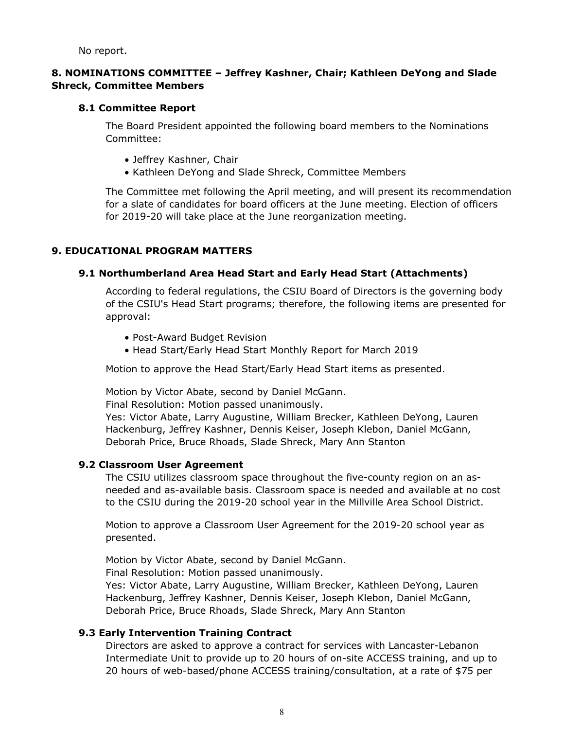No report.

# **8. NOMINATIONS COMMITTEE – Jeffrey Kashner, Chair; Kathleen DeYong and Slade Shreck, Committee Members**

## **8.1 Committee Report**

The Board President appointed the following board members to the Nominations Committee:

- Jeffrey Kashner, Chair
- Kathleen DeYong and Slade Shreck, Committee Members

The Committee met following the April meeting, and will present its recommendation for a slate of candidates for board officers at the June meeting. Election of officers for 2019-20 will take place at the June reorganization meeting.

## **9. EDUCATIONAL PROGRAM MATTERS**

## **9.1 Northumberland Area Head Start and Early Head Start (Attachments)**

According to federal regulations, the CSIU Board of Directors is the governing body of the CSIU's Head Start programs; therefore, the following items are presented for approval:

- Post-Award Budget Revision
- Head Start/Early Head Start Monthly Report for March 2019

Motion to approve the Head Start/Early Head Start items as presented.

Motion by Victor Abate, second by Daniel McGann.

Final Resolution: Motion passed unanimously.

Yes: Victor Abate, Larry Augustine, William Brecker, Kathleen DeYong, Lauren Hackenburg, Jeffrey Kashner, Dennis Keiser, Joseph Klebon, Daniel McGann, Deborah Price, Bruce Rhoads, Slade Shreck, Mary Ann Stanton

### **9.2 Classroom User Agreement**

The CSIU utilizes classroom space throughout the five-county region on an asneeded and as-available basis. Classroom space is needed and available at no cost to the CSIU during the 2019-20 school year in the Millville Area School District.

Motion to approve a Classroom User Agreement for the 2019-20 school year as presented.

Motion by Victor Abate, second by Daniel McGann.

Final Resolution: Motion passed unanimously.

Yes: Victor Abate, Larry Augustine, William Brecker, Kathleen DeYong, Lauren Hackenburg, Jeffrey Kashner, Dennis Keiser, Joseph Klebon, Daniel McGann, Deborah Price, Bruce Rhoads, Slade Shreck, Mary Ann Stanton

## **9.3 Early Intervention Training Contract**

Directors are asked to approve a contract for services with Lancaster-Lebanon Intermediate Unit to provide up to 20 hours of on-site ACCESS training, and up to 20 hours of web-based/phone ACCESS training/consultation, at a rate of \$75 per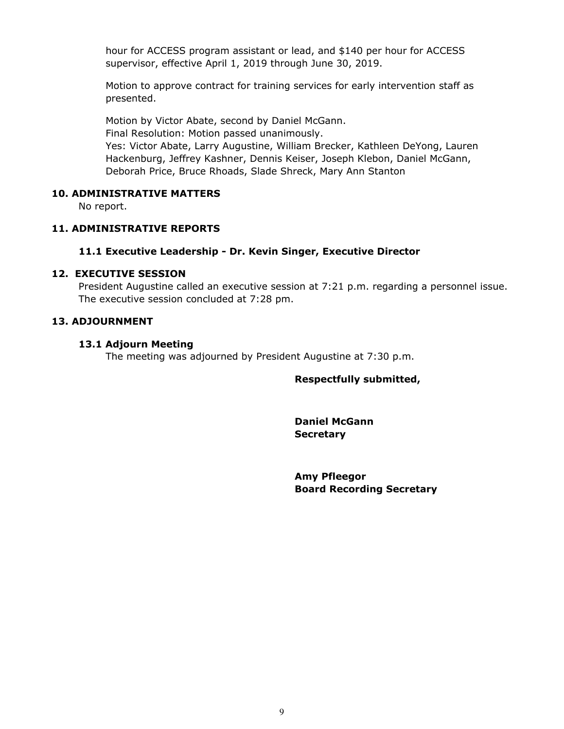hour for ACCESS program assistant or lead, and \$140 per hour for ACCESS supervisor, effective April 1, 2019 through June 30, 2019.

Motion to approve contract for training services for early intervention staff as presented.

Motion by Victor Abate, second by Daniel McGann. Final Resolution: Motion passed unanimously. Yes: Victor Abate, Larry Augustine, William Brecker, Kathleen DeYong, Lauren Hackenburg, Jeffrey Kashner, Dennis Keiser, Joseph Klebon, Daniel McGann, Deborah Price, Bruce Rhoads, Slade Shreck, Mary Ann Stanton

## **10. ADMINISTRATIVE MATTERS**

No report.

## **11. ADMINISTRATIVE REPORTS**

## **11.1 Executive Leadership - Dr. Kevin Singer, Executive Director**

### **12. EXECUTIVE SESSION**

President Augustine called an executive session at 7:21 p.m. regarding a personnel issue. The executive session concluded at 7:28 pm.

## **13. ADJOURNMENT**

### **13.1 Adjourn Meeting**

The meeting was adjourned by President Augustine at 7:30 p.m.

### **Respectfully submitted,**

**Daniel McGann Secretary**

**Amy Pfleegor Board Recording Secretary**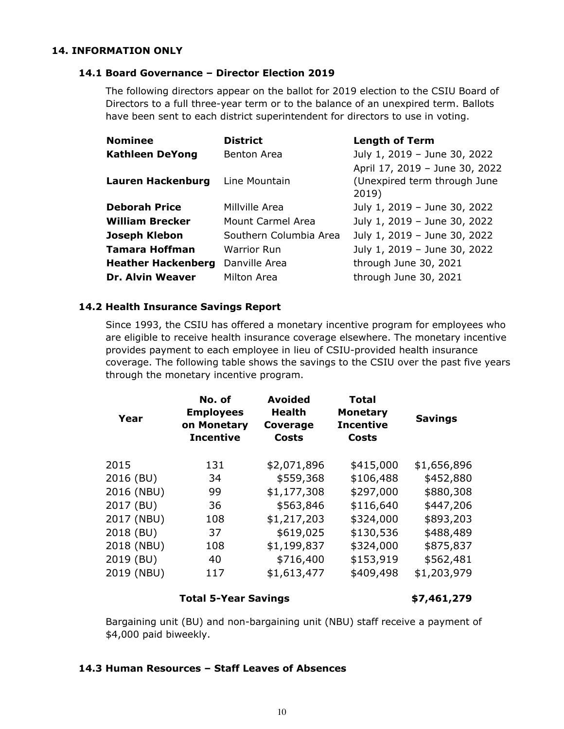## **14. INFORMATION ONLY**

### **14.1 Board Governance – Director Election 2019**

The following directors appear on the ballot for 2019 election to the CSIU Board of Directors to a full three-year term or to the balance of an unexpired term. Ballots have been sent to each district superintendent for directors to use in voting.

| <b>Nominee</b>            | <b>District</b>        | <b>Length of Term</b>                                                   |
|---------------------------|------------------------|-------------------------------------------------------------------------|
| <b>Kathleen DeYong</b>    | Benton Area            | July 1, 2019 - June 30, 2022                                            |
| <b>Lauren Hackenburg</b>  | Line Mountain          | April 17, 2019 - June 30, 2022<br>(Unexpired term through June<br>2019) |
| <b>Deborah Price</b>      | Millville Area         | July 1, 2019 - June 30, 2022                                            |
| <b>William Brecker</b>    | Mount Carmel Area      | July 1, 2019 - June 30, 2022                                            |
| Joseph Klebon             | Southern Columbia Area | July 1, 2019 - June 30, 2022                                            |
| <b>Tamara Hoffman</b>     | Warrior Run            | July 1, 2019 - June 30, 2022                                            |
| <b>Heather Hackenberg</b> | Danville Area          | through June 30, 2021                                                   |
| <b>Dr. Alvin Weaver</b>   | Milton Area            | through June 30, 2021                                                   |

## **14.2 Health Insurance Savings Report**

Since 1993, the CSIU has offered a monetary incentive program for employees who are eligible to receive health insurance coverage elsewhere. The monetary incentive provides payment to each employee in lieu of CSIU-provided health insurance coverage. The following table shows the savings to the CSIU over the past five years through the monetary incentive program.

| Year       | No. of<br><b>Employees</b><br>on Monetary<br><b>Incentive</b> | <b>Avoided</b><br><b>Health</b><br>Coverage<br><b>Costs</b> | <b>Total</b><br><b>Monetary</b><br><b>Incentive</b><br><b>Costs</b> | <b>Savings</b> |
|------------|---------------------------------------------------------------|-------------------------------------------------------------|---------------------------------------------------------------------|----------------|
| 2015       | 131                                                           | \$2,071,896                                                 | \$415,000                                                           | \$1,656,896    |
| 2016 (BU)  | 34                                                            | \$559,368                                                   | \$106,488                                                           | \$452,880      |
| 2016 (NBU) | 99                                                            | \$1,177,308                                                 | \$297,000                                                           | \$880,308      |
| 2017 (BU)  | 36                                                            | \$563,846                                                   | \$116,640                                                           | \$447,206      |
| 2017 (NBU) | 108                                                           | \$1,217,203                                                 | \$324,000                                                           | \$893,203      |
| 2018 (BU)  | 37                                                            | \$619,025                                                   | \$130,536                                                           | \$488,489      |
| 2018 (NBU) | 108                                                           | \$1,199,837                                                 | \$324,000                                                           | \$875,837      |
| 2019 (BU)  | 40                                                            | \$716,400                                                   | \$153,919                                                           | \$562,481      |
| 2019 (NBU) | 117                                                           | \$1,613,477                                                 | \$409,498                                                           | \$1,203,979    |
|            |                                                               |                                                             |                                                                     |                |

### **Total 5-Year Savings \$7,461,279**

Bargaining unit (BU) and non-bargaining unit (NBU) staff receive a payment of \$4,000 paid biweekly.

# **14.3 Human Resources – Staff Leaves of Absences**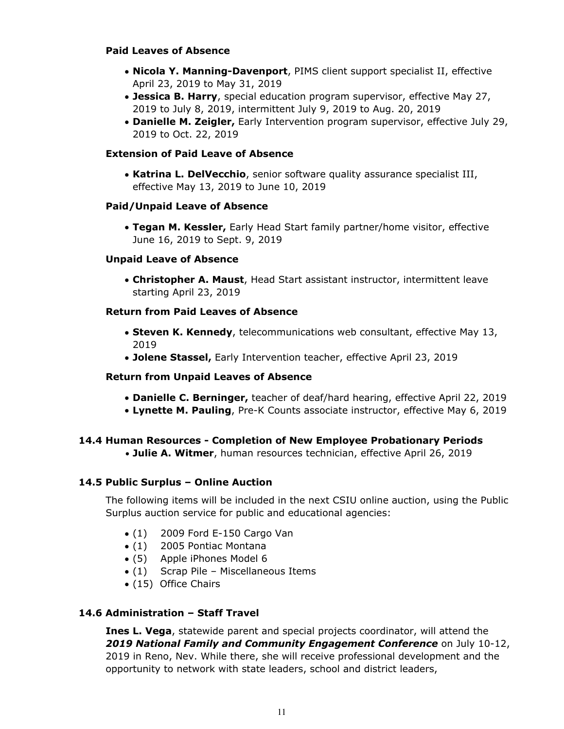## **Paid Leaves of Absence**

- **Nicola Y. Manning-Davenport**, PIMS client support specialist II, effective April 23, 2019 to May 31, 2019
- **Jessica B. Harry**, special education program supervisor, effective May 27, 2019 to July 8, 2019, intermittent July 9, 2019 to Aug. 20, 2019
- **Danielle M. Zeigler,** Early Intervention program supervisor, effective July 29, 2019 to Oct. 22, 2019

## **Extension of Paid Leave of Absence**

**Katrina L. DelVecchio**, senior software quality assurance specialist III, effective May 13, 2019 to June 10, 2019

## **Paid/Unpaid Leave of Absence**

**Tegan M. Kessler,** Early Head Start family partner/home visitor, effective June 16, 2019 to Sept. 9, 2019

## **Unpaid Leave of Absence**

**Christopher A. Maust**, Head Start assistant instructor, intermittent leave starting April 23, 2019

## **Return from Paid Leaves of Absence**

- **Steven K. Kennedy**, telecommunications web consultant, effective May 13, 2019
- **Jolene Stassel,** Early Intervention teacher, effective April 23, 2019

### **Return from Unpaid Leaves of Absence**

- **Danielle C. Berninger,** teacher of deaf/hard hearing, effective April 22, 2019
- **Lynette M. Pauling**, Pre-K Counts associate instructor, effective May 6, 2019

# **14.4 Human Resources - Completion of New Employee Probationary Periods**

**Julie A. Witmer**, human resources technician, effective April 26, 2019

## **14.5 Public Surplus – Online Auction**

The following items will be included in the next CSIU online auction, using the Public Surplus auction service for public and educational agencies:

- (1) 2009 Ford E-150 Cargo Van
- (1) 2005 Pontiac Montana
- (5) Apple iPhones Model 6
- (1) Scrap Pile Miscellaneous Items
- (15) Office Chairs

### **14.6 Administration – Staff Travel**

**Ines L. Vega**, statewide parent and special projects coordinator, will attend the *2019 National Family and Community Engagement Conference* on July 10-12, 2019 in Reno, Nev. While there, she will receive professional development and the opportunity to network with state leaders, school and district leaders,